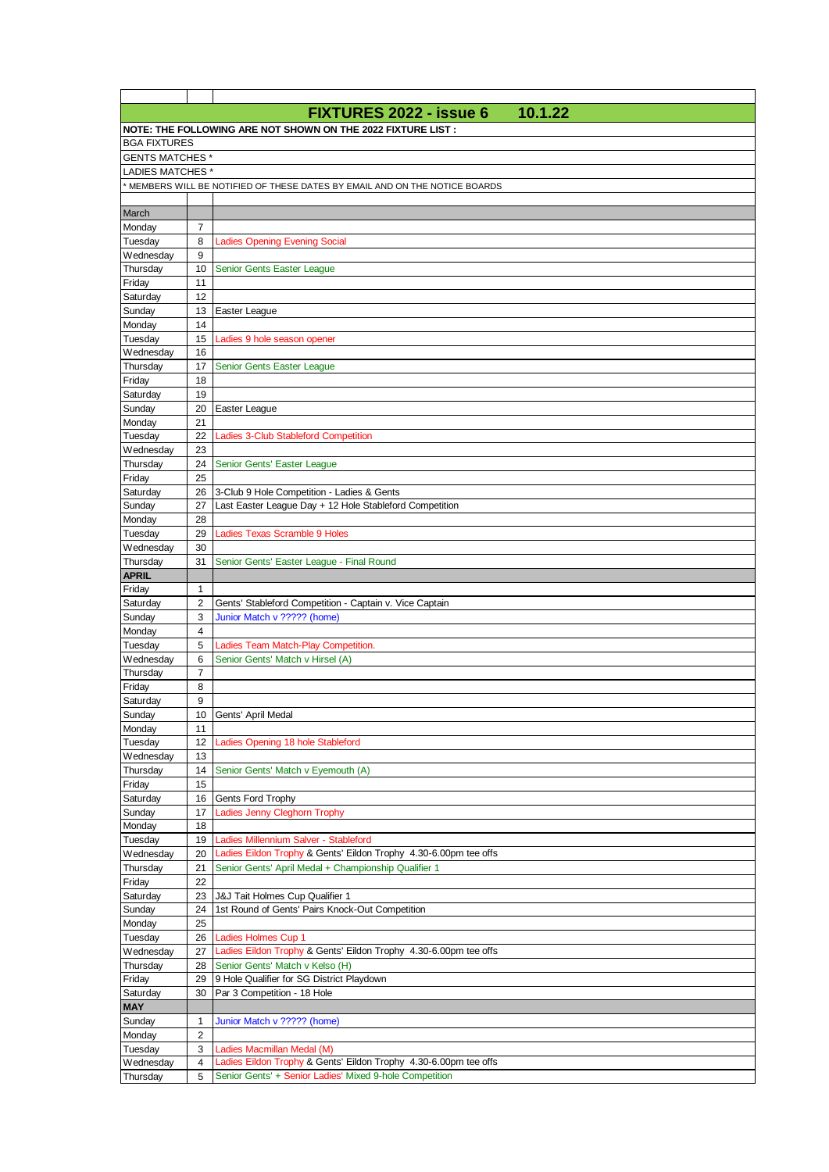|                        |                                                              | FIXTURES 2022 - issue 6<br>10.1.22                                                                                       |  |  |  |  |  |
|------------------------|--------------------------------------------------------------|--------------------------------------------------------------------------------------------------------------------------|--|--|--|--|--|
|                        | NOTE: THE FOLLOWING ARE NOT SHOWN ON THE 2022 FIXTURE LIST : |                                                                                                                          |  |  |  |  |  |
|                        | <b>BGA FIXTURES</b>                                          |                                                                                                                          |  |  |  |  |  |
|                        | <b>GENTS MATCHES*</b>                                        |                                                                                                                          |  |  |  |  |  |
| <b>LADIES MATCHES*</b> |                                                              |                                                                                                                          |  |  |  |  |  |
|                        |                                                              | MEMBERS WILL BE NOTIFIED OF THESE DATES BY EMAIL AND ON THE NOTICE BOARDS                                                |  |  |  |  |  |
| March                  |                                                              |                                                                                                                          |  |  |  |  |  |
| Monday                 | 7                                                            |                                                                                                                          |  |  |  |  |  |
| Tuesday                | 8                                                            | <b>Ladies Opening Evening Social</b>                                                                                     |  |  |  |  |  |
| Wednesday              | 9                                                            |                                                                                                                          |  |  |  |  |  |
| Thursday               | 10                                                           | Senior Gents Easter League                                                                                               |  |  |  |  |  |
| Friday                 | 11                                                           |                                                                                                                          |  |  |  |  |  |
| Saturday               | 12                                                           |                                                                                                                          |  |  |  |  |  |
| Sunday                 | 13                                                           | Easter League                                                                                                            |  |  |  |  |  |
| Monday                 | 14                                                           |                                                                                                                          |  |  |  |  |  |
| Tuesday                | 15                                                           | Ladies 9 hole season opener                                                                                              |  |  |  |  |  |
| Wednesday              | 16                                                           |                                                                                                                          |  |  |  |  |  |
| Thursday<br>Friday     | 17<br>18                                                     | Senior Gents Easter League                                                                                               |  |  |  |  |  |
| Saturday               | 19                                                           |                                                                                                                          |  |  |  |  |  |
| Sunday                 | 20                                                           | Easter League                                                                                                            |  |  |  |  |  |
| Monday                 | 21                                                           |                                                                                                                          |  |  |  |  |  |
| Tuesday                | 22                                                           | Ladies 3-Club Stableford Competition                                                                                     |  |  |  |  |  |
| Wednesday              | 23                                                           |                                                                                                                          |  |  |  |  |  |
| Thursday               | 24                                                           | Senior Gents' Easter League                                                                                              |  |  |  |  |  |
| Friday                 | 25                                                           |                                                                                                                          |  |  |  |  |  |
| Saturday               | 26                                                           | 3-Club 9 Hole Competition - Ladies & Gents                                                                               |  |  |  |  |  |
| Sunday                 | 27                                                           | Last Easter League Day + 12 Hole Stableford Competition                                                                  |  |  |  |  |  |
| Monday                 | 28                                                           |                                                                                                                          |  |  |  |  |  |
| Tuesday                | 29                                                           | Ladies Texas Scramble 9 Holes                                                                                            |  |  |  |  |  |
| Wednesday<br>Thursday  | 30<br>31                                                     | Senior Gents' Easter League - Final Round                                                                                |  |  |  |  |  |
| <b>APRIL</b>           |                                                              |                                                                                                                          |  |  |  |  |  |
| Friday                 | $\mathbf{1}$                                                 |                                                                                                                          |  |  |  |  |  |
| Saturday               | 2                                                            | Gents' Stableford Competition - Captain v. Vice Captain                                                                  |  |  |  |  |  |
| Sunday                 | 3                                                            | Junior Match v ????? (home)                                                                                              |  |  |  |  |  |
| Monday                 | $\overline{4}$                                               |                                                                                                                          |  |  |  |  |  |
| Tuesday                | 5                                                            | Ladies Team Match-Play Competition.                                                                                      |  |  |  |  |  |
| Wednesday              | 6                                                            | Senior Gents' Match v Hirsel (A)                                                                                         |  |  |  |  |  |
| Thursday               | $\overline{7}$                                               |                                                                                                                          |  |  |  |  |  |
| Friday                 | 8                                                            |                                                                                                                          |  |  |  |  |  |
| Saturday<br>Sunday     | 9                                                            | 10 Gents' April Medal                                                                                                    |  |  |  |  |  |
| Monday                 | 11                                                           |                                                                                                                          |  |  |  |  |  |
| Tuesday                | 12                                                           | adies Opening 18 hole Stableford                                                                                         |  |  |  |  |  |
| Wednesday              | 13                                                           |                                                                                                                          |  |  |  |  |  |
| Thursday               | 14                                                           | Senior Gents' Match v Eyemouth (A)                                                                                       |  |  |  |  |  |
| Friday                 | 15                                                           |                                                                                                                          |  |  |  |  |  |
| Saturday               | 16                                                           | Gents Ford Trophy                                                                                                        |  |  |  |  |  |
| Sunday                 | 17                                                           | adies Jenny Cleghorn Trophy                                                                                              |  |  |  |  |  |
| Monday                 | 18                                                           |                                                                                                                          |  |  |  |  |  |
| Tuesday                | 19                                                           | Ladies Millennium Salver - Stableford                                                                                    |  |  |  |  |  |
| Wednesday<br>Thursday  | 20<br>21                                                     | Ladies Eildon Trophy & Gents' Eildon Trophy 4.30-6.00pm tee offs<br>Senior Gents' April Medal + Championship Qualifier 1 |  |  |  |  |  |
| Friday                 | 22                                                           |                                                                                                                          |  |  |  |  |  |
| Saturday               | 23                                                           | J&J Tait Holmes Cup Qualifier 1                                                                                          |  |  |  |  |  |
| Sunday                 | 24                                                           | 1st Round of Gents' Pairs Knock-Out Competition                                                                          |  |  |  |  |  |
| Monday                 | 25                                                           |                                                                                                                          |  |  |  |  |  |
| Tuesday                | 26                                                           | <b>Ladies Holmes Cup 1</b>                                                                                               |  |  |  |  |  |
| Wednesday              | 27                                                           | Ladies Eildon Trophy & Gents' Eildon Trophy 4.30-6.00pm tee offs                                                         |  |  |  |  |  |
| Thursday               | 28                                                           | Senior Gents' Match v Kelso (H)                                                                                          |  |  |  |  |  |
| Friday                 | 29                                                           | 9 Hole Qualifier for SG District Playdown                                                                                |  |  |  |  |  |
| Saturday               | 30                                                           | Par 3 Competition - 18 Hole                                                                                              |  |  |  |  |  |
| <b>MAY</b>             |                                                              |                                                                                                                          |  |  |  |  |  |
| Sunday                 | 1                                                            | Junior Match v ????? (home)                                                                                              |  |  |  |  |  |
| Monday                 | $\overline{2}$<br>3                                          |                                                                                                                          |  |  |  |  |  |
| Tuesday<br>Wednesday   | $\overline{4}$                                               | adies Macmillan Medal (M)<br>Ladies Eildon Trophy & Gents' Eildon Trophy 4.30-6.00pm tee offs                            |  |  |  |  |  |
| Thursday               | 5                                                            | Senior Gents' + Senior Ladies' Mixed 9-hole Competition                                                                  |  |  |  |  |  |
|                        |                                                              |                                                                                                                          |  |  |  |  |  |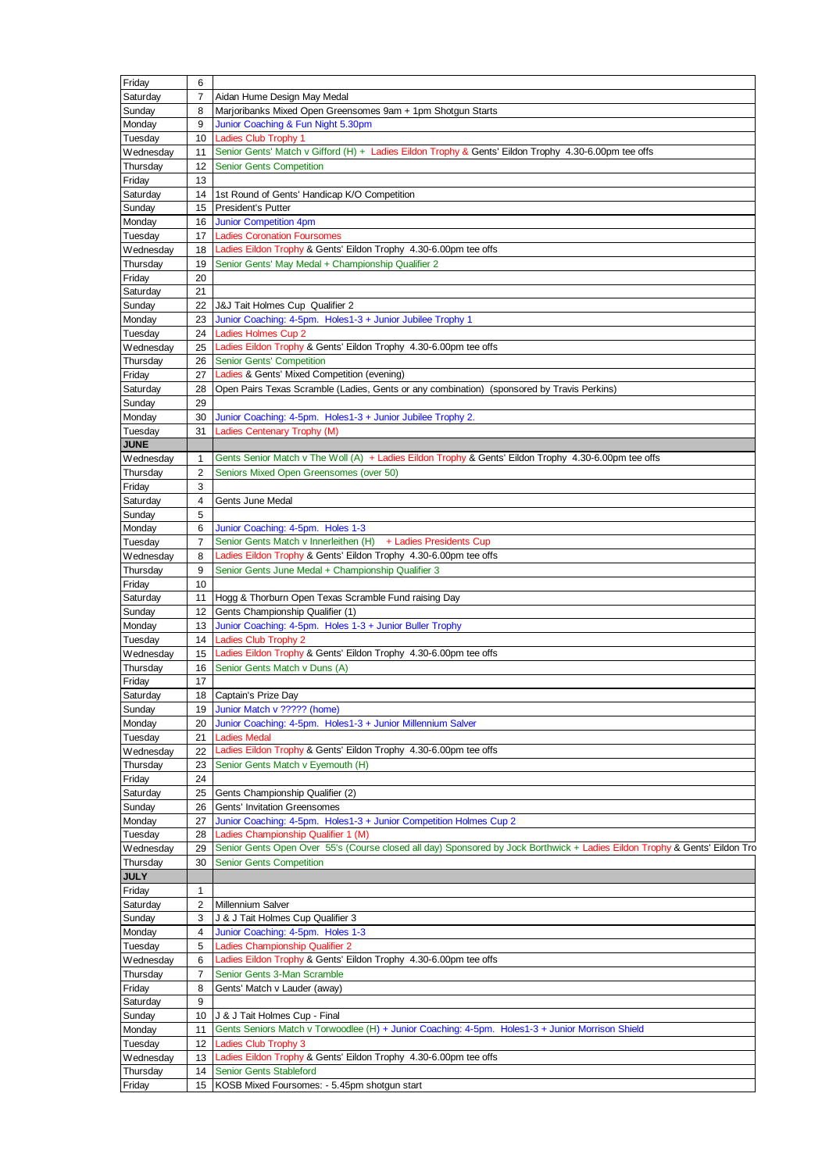| Friday           | 6              |                                                                                                                            |
|------------------|----------------|----------------------------------------------------------------------------------------------------------------------------|
| Saturday         | $\overline{7}$ | Aidan Hume Design May Medal                                                                                                |
| Sunday           | 8              | Marjoribanks Mixed Open Greensomes 9am + 1pm Shotgun Starts                                                                |
| Monday           | 9              | Junior Coaching & Fun Night 5.30pm                                                                                         |
| Tuesday          | 10             | <b>Ladies Club Trophy 1</b>                                                                                                |
| Wednesday        | 11             | Senior Gents' Match v Gifford (H) + Ladies Eildon Trophy & Gents' Eildon Trophy 4.30-6.00pm tee offs                       |
| Thursday         | 12             | <b>Senior Gents Competition</b>                                                                                            |
| Friday           | 13             |                                                                                                                            |
| Saturday         | 14             | 1st Round of Gents' Handicap K/O Competition                                                                               |
| Sunday           | 15             | <b>President's Putter</b>                                                                                                  |
| Monday           | 16             | <b>Junior Competition 4pm</b>                                                                                              |
| Tuesday          | 17             | <b>Ladies Coronation Foursomes</b>                                                                                         |
| <b>Wednesday</b> | 18             | Ladies Eildon Trophy & Gents' Eildon Trophy 4.30-6.00pm tee offs                                                           |
| Thursday         | 19             | Senior Gents' May Medal + Championship Qualifier 2                                                                         |
| Friday           | 20             |                                                                                                                            |
| Saturday         | 21             |                                                                                                                            |
| Sunday           | 22             | J&J Tait Holmes Cup Qualifier 2                                                                                            |
| Monday           | 23             | Junior Coaching: 4-5pm. Holes1-3 + Junior Jubilee Trophy 1                                                                 |
| Tuesday          | 24             | Ladies Holmes Cup 2                                                                                                        |
| <b>Wednesday</b> | 25             | Ladies Eildon Trophy & Gents' Eildon Trophy 4.30-6.00pm tee offs                                                           |
| Thursday         | 26             | <b>Senior Gents' Competition</b>                                                                                           |
| Friday           | 27             | Ladies & Gents' Mixed Competition (evening)                                                                                |
| Saturday         | 28             | Open Pairs Texas Scramble (Ladies, Gents or any combination) (sponsored by Travis Perkins)                                 |
| Sunday           | 29             |                                                                                                                            |
| Monday           | 30             | Junior Coaching: 4-5pm. Holes1-3 + Junior Jubilee Trophy 2.                                                                |
| Tuesday          | 31             | Ladies Centenary Trophy (M)                                                                                                |
| <b>JUNE</b>      |                |                                                                                                                            |
| Wednesday        | $\mathbf{1}$   | Gents Senior Match v The Woll (A) + Ladies Eildon Trophy & Gents' Eildon Trophy 4.30-6.00pm tee offs                       |
| Thursday         | $\overline{2}$ | Seniors Mixed Open Greensomes (over 50)                                                                                    |
| Friday           | 3              |                                                                                                                            |
| Saturday         | 4              | Gents June Medal                                                                                                           |
| Sunday           | 5              |                                                                                                                            |
| Monday           | 6              | Junior Coaching: 4-5pm. Holes 1-3                                                                                          |
| Tuesday          | $\overline{7}$ | Senior Gents Match v Innerleithen (H) + Ladies Presidents Cup                                                              |
| Wednesday        | 8              | Ladies Eildon Trophy & Gents' Eildon Trophy 4.30-6.00pm tee offs                                                           |
| Thursday         | 9              | Senior Gents June Medal + Championship Qualifier 3                                                                         |
| Friday           | 10             |                                                                                                                            |
| Saturday         | 11             | Hogg & Thorburn Open Texas Scramble Fund raising Day                                                                       |
| Sunday           | 12             | Gents Championship Qualifier (1)                                                                                           |
| Monday           | 13             | Junior Coaching: 4-5pm. Holes 1-3 + Junior Buller Trophy                                                                   |
| Tuesday          | 14             | <b>Ladies Club Trophy 2</b>                                                                                                |
| Wednesday        | 15             | Ladies Eildon Trophy & Gents' Eildon Trophy 4.30-6.00pm tee offs                                                           |
| Thursday         | 16             | Senior Gents Match v Duns (A)                                                                                              |
| Friday           | 17             |                                                                                                                            |
| Saturday         |                | 18 Captain's Prize Day                                                                                                     |
| Sunday           | 19             | Junior Match v ????? (home)                                                                                                |
| Monday           | 20             | Junior Coaching: 4-5pm. Holes1-3 + Junior Millennium Salver                                                                |
| Tuesday          | 21             | Ladies Medal                                                                                                               |
| Wednesday        | 22             | Ladies Eildon Trophy & Gents' Eildon Trophy 4.30-6.00pm tee offs                                                           |
| Thursday         | 23             | Senior Gents Match v Eyemouth (H)                                                                                          |
| Friday           | 24             |                                                                                                                            |
| Saturday         | 25             | Gents Championship Qualifier (2)                                                                                           |
| Sunday           | 26             | <b>Gents' Invitation Greensomes</b>                                                                                        |
| Monday           | 27             | Junior Coaching: 4-5pm. Holes1-3 + Junior Competition Holmes Cup 2                                                         |
| Tuesday          | 28             | adies Championship Qualifier 1 (M)                                                                                         |
| Wednesday        | 29             | Senior Gents Open Over 55's (Course closed all day) Sponsored by Jock Borthwick + Ladies Eildon Trophy & Gents' Eildon Tro |
| Thursday         | 30             | <b>Senior Gents Competition</b>                                                                                            |
| <b>JULY</b>      |                |                                                                                                                            |
| Friday           | $\mathbf{1}$   |                                                                                                                            |
| Saturday         | $\overline{2}$ | <b>Millennium Salver</b>                                                                                                   |
| Sunday           | 3              | J & J Tait Holmes Cup Qualifier 3                                                                                          |
| Monday           | $\overline{4}$ | Junior Coaching: 4-5pm. Holes 1-3                                                                                          |
| Tuesday          | 5              | <b>Ladies Championship Qualifier 2</b>                                                                                     |
| Wednesday        | 6              | Ladies Eildon Trophy & Gents' Eildon Trophy 4.30-6.00pm tee offs                                                           |
| Thursday         | $\overline{7}$ | Senior Gents 3-Man Scramble                                                                                                |
| Friday           | 8              | Gents' Match v Lauder (away)                                                                                               |
| Saturday         | 9              |                                                                                                                            |
| Sunday           | 10             | J & J Tait Holmes Cup - Final                                                                                              |
| Monday           | 11             | Gents Seniors Match v Torwoodlee (H) + Junior Coaching: 4-5pm. Holes1-3 + Junior Morrison Shield                           |
| Tuesday          | 12             | <b>Ladies Club Trophy 3</b>                                                                                                |
| Wednesday        | 13             | Ladies Eildon Trophy & Gents' Eildon Trophy 4.30-6.00pm tee offs                                                           |
| Thursday         | 14             | Senior Gents Stableford                                                                                                    |
| Friday           | 15             | KOSB Mixed Foursomes: - 5.45pm shotgun start                                                                               |
|                  |                |                                                                                                                            |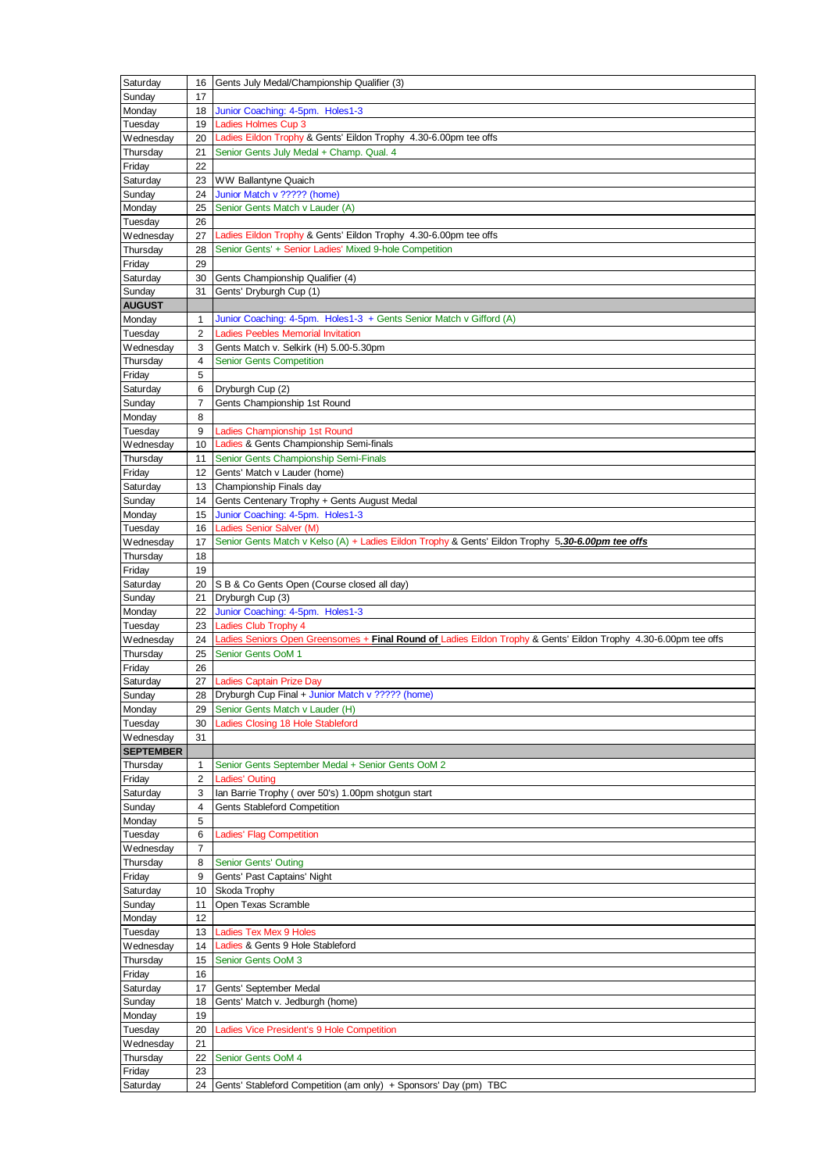| Saturday           | 16             | Gents July Medal/Championship Qualifier (3)                                                                      |
|--------------------|----------------|------------------------------------------------------------------------------------------------------------------|
| Sunday             | 17             |                                                                                                                  |
| Monday             | 18             | Junior Coaching: 4-5pm. Holes1-3                                                                                 |
| Tuesday            | 19             | Ladies Holmes Cup 3                                                                                              |
| Wednesday          | 20             | Ladies Eildon Trophy & Gents' Eildon Trophy 4.30-6.00pm tee offs                                                 |
| Thursday           | 21             | Senior Gents July Medal + Champ. Qual. 4                                                                         |
| Friday             | 22             |                                                                                                                  |
| Saturday           | 23             | WW Ballantyne Quaich                                                                                             |
| Sunday             | 24             | Junior Match v ????? (home)                                                                                      |
| Monday             | 25             | Senior Gents Match v Lauder (A)                                                                                  |
| Tuesday            | 26             |                                                                                                                  |
| Wednesday          | 27             | Ladies Eildon Trophy & Gents' Eildon Trophy 4.30-6.00pm tee offs                                                 |
| Thursday           | 28             | Senior Gents' + Senior Ladies' Mixed 9-hole Competition                                                          |
| Friday             | 29             |                                                                                                                  |
| Saturday           | 30             | Gents Championship Qualifier (4)                                                                                 |
| Sunday             | 31             | Gents' Dryburgh Cup (1)                                                                                          |
| <b>AUGUST</b>      |                |                                                                                                                  |
| Monday             | $\mathbf 1$    | Junior Coaching: 4-5pm. Holes1-3 + Gents Senior Match v Gifford (A)                                              |
| Tuesday            | 2              | <b>Ladies Peebles Memorial Invitation</b>                                                                        |
| Wednesday          | 3              | Gents Match v. Selkirk (H) 5.00-5.30pm                                                                           |
| Thursday           | $\overline{4}$ | <b>Senior Gents Competition</b>                                                                                  |
| Friday             | 5              |                                                                                                                  |
| Saturday           | 6              | Dryburgh Cup (2)                                                                                                 |
| Sunday             | 7              | Gents Championship 1st Round                                                                                     |
| Monday             | 8              |                                                                                                                  |
| Tuesday            | 9              | Ladies Championship 1st Round                                                                                    |
| Wednesday          | 10             | Ladies & Gents Championship Semi-finals                                                                          |
| Thursday           | 11             | Senior Gents Championship Semi-Finals                                                                            |
| Friday             | 12             | Gents' Match v Lauder (home)                                                                                     |
| Saturday           | 13             | Championship Finals day                                                                                          |
| Sunday             | 14             | Gents Centenary Trophy + Gents August Medal                                                                      |
| Monday             | 15             | Junior Coaching: 4-5pm. Holes1-3                                                                                 |
| Tuesday            | 16             | Ladies Senior Salver (M)                                                                                         |
| Wednesday          | 17             | Senior Gents Match v Kelso (A) + Ladies Eildon Trophy & Gents' Eildon Trophy 5.30-6.00pm tee offs                |
| Thursday           | 18             |                                                                                                                  |
| Friday             | 19             |                                                                                                                  |
| Saturday           | 20             | S B & Co Gents Open (Course closed all day)                                                                      |
| Sunday             | 21             | Dryburgh Cup (3)                                                                                                 |
| Monday             | 22             | Junior Coaching: 4-5pm. Holes1-3                                                                                 |
| Tuesday            | 23             | Ladies Club Trophy 4                                                                                             |
| Wednesday          | 24             | Ladies Seniors Open Greensomes + Final Round of Ladies Eildon Trophy & Gents' Eildon Trophy 4.30-6.00pm tee offs |
| Thursday           | 25             | Senior Gents OoM 1                                                                                               |
|                    |                |                                                                                                                  |
| Friday             | 26             |                                                                                                                  |
| Saturday           | 27             | Ladies Captain Prize Day                                                                                         |
| Sunday             |                | 28 Dryburgh Cup Final + Junior Match v ????? (home)                                                              |
| Monday             | 29             | Senior Gents Match v Lauder (H)                                                                                  |
| Tuesday            | 30             | Ladies Closing 18 Hole Stableford                                                                                |
| Wednesday          | 31             |                                                                                                                  |
| <b>SEPTEMBER</b>   |                |                                                                                                                  |
| Thursday           | $\mathbf{1}$   | Senior Gents September Medal + Senior Gents OoM 2                                                                |
| Friday             | 2              | <b>Ladies' Outing</b>                                                                                            |
| Saturday           | 3              | lan Barrie Trophy (over 50's) 1.00pm shotgun start                                                               |
| Sunday             | 4              | Gents Stableford Competition                                                                                     |
| Monday             | 5              |                                                                                                                  |
| Tuesday            | 6              | <b>Ladies' Flag Competition</b>                                                                                  |
| Wednesday          | $\overline{7}$ |                                                                                                                  |
| Thursday           | 8              | <b>Senior Gents' Outing</b>                                                                                      |
| Friday             | 9              | Gents' Past Captains' Night                                                                                      |
| Saturday           | 10             | Skoda Trophy                                                                                                     |
| Sunday             | 11             | Open Texas Scramble                                                                                              |
| Monday             | 12             |                                                                                                                  |
| Tuesday            | 13             | Ladies Tex Mex 9 Holes                                                                                           |
| Wednesday          | 14             | Ladies & Gents 9 Hole Stableford                                                                                 |
| Thursday           | 15             | Senior Gents OoM 3                                                                                               |
| Friday             | 16             |                                                                                                                  |
| Saturday           | 17             | Gents' September Medal                                                                                           |
| Sunday             | 18             | Gents' Match v. Jedburgh (home)                                                                                  |
| Monday             | 19             |                                                                                                                  |
| Tuesday            | 20             | Ladies Vice President's 9 Hole Competition                                                                       |
| Wednesday          | 21             |                                                                                                                  |
| Thursday           | 22             | Senior Gents OoM 4                                                                                               |
| Friday<br>Saturday | 23<br>24       | Gents' Stableford Competition (am only) + Sponsors' Day (pm) TBC                                                 |